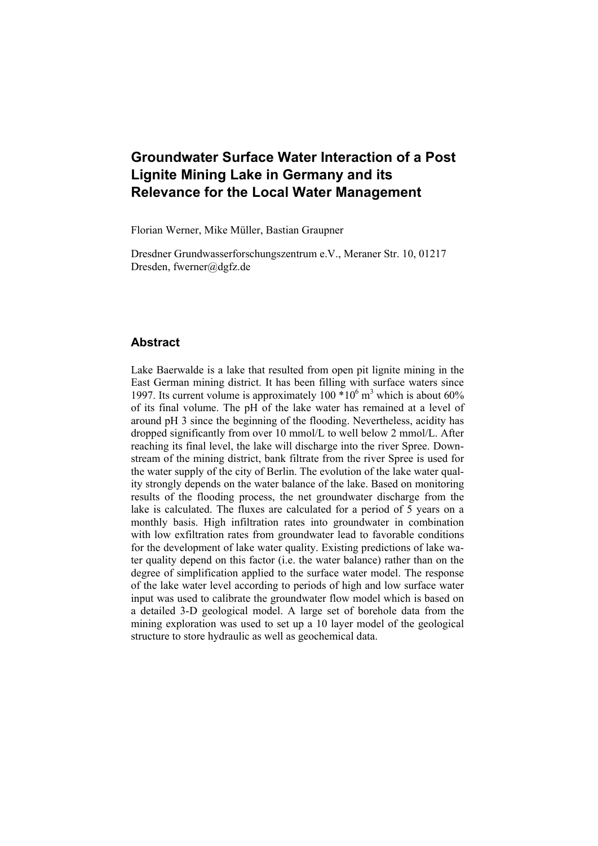# **Groundwater Surface Water Interaction of a Post Lignite Mining Lake in Germany and its Relevance for the Local Water Management**

Florian Werner, Mike Müller, Bastian Graupner

Dresdner Grundwasserforschungszentrum e.V., Meraner Str. 10, 01217 Dresden, fwerner@dgfz.de

## **Abstract**

Lake Baerwalde is a lake that resulted from open pit lignite mining in the East German mining district. It has been filling with surface waters since 1997. Its current volume is approximately  $100 * 10^6$  m<sup>3</sup> which is about 60% of its final volume. The pH of the lake water has remained at a level of around pH 3 since the beginning of the flooding. Nevertheless, acidity has dropped significantly from over 10 mmol/L to well below 2 mmol/L. After reaching its final level, the lake will discharge into the river Spree. Downstream of the mining district, bank filtrate from the river Spree is used for the water supply of the city of Berlin. The evolution of the lake water quality strongly depends on the water balance of the lake. Based on monitoring results of the flooding process, the net groundwater discharge from the lake is calculated. The fluxes are calculated for a period of 5 years on a monthly basis. High infiltration rates into groundwater in combination with low exfiltration rates from groundwater lead to favorable conditions for the development of lake water quality. Existing predictions of lake water quality depend on this factor (i.e. the water balance) rather than on the degree of simplification applied to the surface water model. The response of the lake water level according to periods of high and low surface water input was used to calibrate the groundwater flow model which is based on a detailed 3-D geological model. A large set of borehole data from the mining exploration was used to set up a 10 layer model of the geological structure to store hydraulic as well as geochemical data.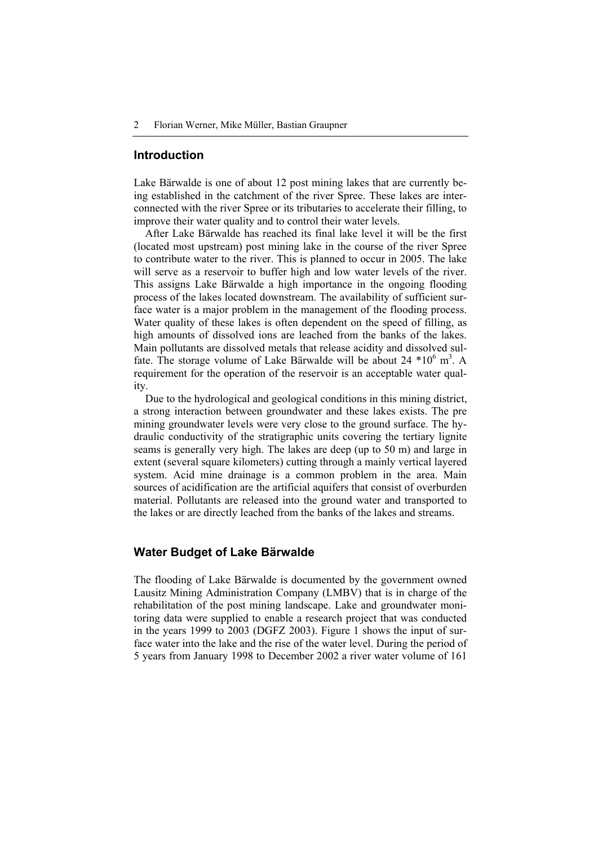#### **Introduction**

Lake Bärwalde is one of about 12 post mining lakes that are currently being established in the catchment of the river Spree. These lakes are interconnected with the river Spree or its tributaries to accelerate their filling, to improve their water quality and to control their water levels.

After Lake Bärwalde has reached its final lake level it will be the first (located most upstream) post mining lake in the course of the river Spree to contribute water to the river. This is planned to occur in 2005. The lake will serve as a reservoir to buffer high and low water levels of the river. This assigns Lake Bärwalde a high importance in the ongoing flooding process of the lakes located downstream. The availability of sufficient surface water is a major problem in the management of the flooding process. Water quality of these lakes is often dependent on the speed of filling, as high amounts of dissolved ions are leached from the banks of the lakes. Main pollutants are dissolved metals that release acidity and dissolved sulfate. The storage volume of Lake Bärwalde will be about  $24*10^6$  m<sup>3</sup>. A requirement for the operation of the reservoir is an acceptable water quality.

Due to the hydrological and geological conditions in this mining district, a strong interaction between groundwater and these lakes exists. The pre mining groundwater levels were very close to the ground surface. The hydraulic conductivity of the stratigraphic units covering the tertiary lignite seams is generally very high. The lakes are deep (up to 50 m) and large in extent (several square kilometers) cutting through a mainly vertical layered system. Acid mine drainage is a common problem in the area. Main sources of acidification are the artificial aquifers that consist of overburden material. Pollutants are released into the ground water and transported to the lakes or are directly leached from the banks of the lakes and streams.

#### **Water Budget of Lake Bärwalde**

The flooding of Lake Bärwalde is documented by the government owned Lausitz Mining Administration Company (LMBV) that is in charge of the rehabilitation of the post mining landscape. Lake and groundwater monitoring data were supplied to enable a research project that was conducted in the years 1999 to 2003 (DGFZ 2003). Figure 1 shows the input of surface water into the lake and the rise of the water level. During the period of 5 years from January 1998 to December 2002 a river water volume of 161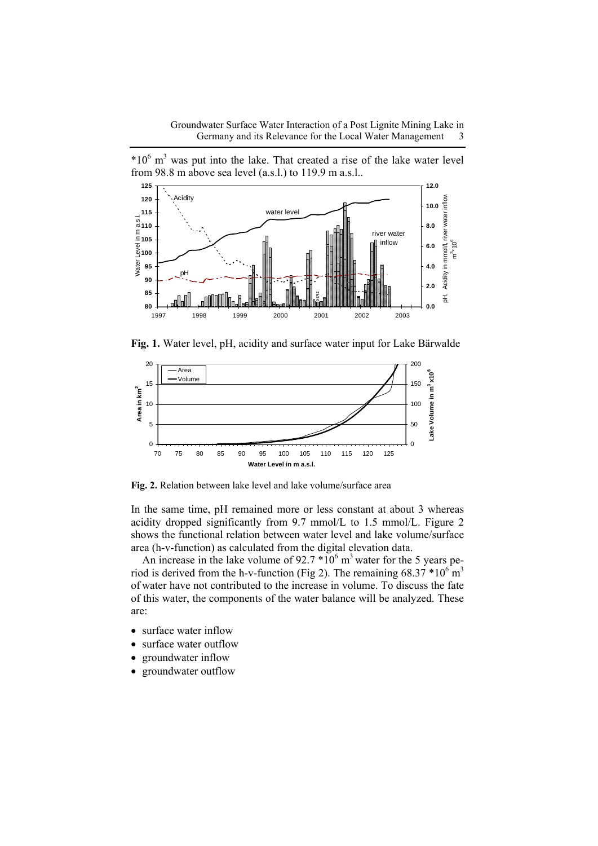$*10<sup>6</sup>$  m<sup>3</sup> was put into the lake. That created a rise of the lake water level from 98.8 m above sea level (a.s.l.) to 119.9 m a.s.l..



**Fig. 1.** Water level, pH, acidity and surface water input for Lake Bärwalde



**Fig. 2.** Relation between lake level and lake volume/surface area

In the same time, pH remained more or less constant at about 3 whereas acidity dropped significantly from 9.7 mmol/L to 1.5 mmol/L. Figure 2 shows the functional relation between water level and lake volume/surface area (h-v-function) as calculated from the digital elevation data.

An increase in the lake volume of  $92.7 * 10<sup>6</sup>$  m<sup>3</sup> water for the 5 years period is derived from the h-v-function (Fig 2). The remaining  $68.37 * 10^{6}$  m<sup>3</sup> of water have not contributed to the increase in volume. To discuss the fate of this water, the components of the water balance will be analyzed. These are:

- surface water inflow
- surface water outflow
- groundwater inflow
- groundwater outflow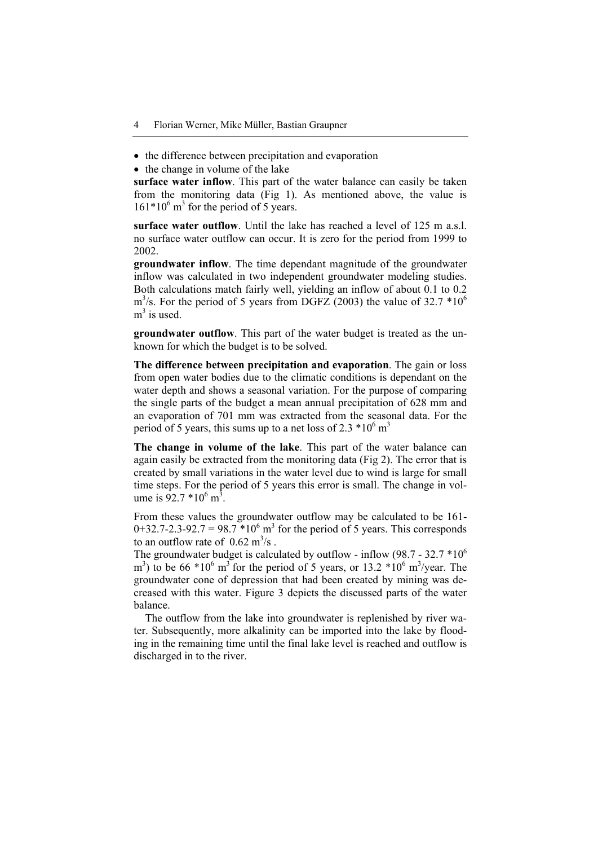- the difference between precipitation and evaporation
- the change in volume of the lake

**surface water inflow**. This part of the water balance can easily be taken from the monitoring data (Fig 1). As mentioned above, the value is  $161*10<sup>6</sup>$  m<sup>3</sup> for the period of 5 years.

**surface water outflow**. Until the lake has reached a level of 125 m a.s.l. no surface water outflow can occur. It is zero for the period from 1999 to 2002.

**groundwater inflow**. The time dependant magnitude of the groundwater inflow was calculated in two independent groundwater modeling studies. Both calculations match fairly well, yielding an inflow of about 0.1 to 0.2  $\text{m}^3$ /s. For the period of 5 years from DGFZ (2003) the value of 32.7  $*10^6$  $m<sup>3</sup>$  is used.

**groundwater outflow**. This part of the water budget is treated as the unknown for which the budget is to be solved.

**The difference between precipitation and evaporation**. The gain or loss from open water bodies due to the climatic conditions is dependant on the water depth and shows a seasonal variation. For the purpose of comparing the single parts of the budget a mean annual precipitation of 628 mm and an evaporation of 701 mm was extracted from the seasonal data. For the period of 5 years, this sums up to a net loss of 2.3  $*10^6$  m<sup>3</sup>

**The change in volume of the lake**. This part of the water balance can again easily be extracted from the monitoring data (Fig 2). The error that is created by small variations in the water level due to wind is large for small time steps. For the period of 5 years this error is small. The change in volume is  $92.7 * 10^6$  m<sup>3</sup>.

From these values the groundwater outflow may be calculated to be 161-  $0+32.7-2.3-92.7 = 98.7 *10<sup>6</sup>$  m<sup>3</sup> for the period of 5 years. This corresponds to an outflow rate of  $0.62 \text{ m}^3/\text{s}$ .

The groundwater budget is calculated by outflow - inflow (98.7 - 32.7  $*10^6$ ) m<sup>3</sup>) to be 66  $*10^6$  m<sup>3</sup> for the period of 5 years, or 13.2  $*10^6$  m<sup>3</sup>/year. The groundwater cone of depression that had been created by mining was decreased with this water. Figure 3 depicts the discussed parts of the water balance.

The outflow from the lake into groundwater is replenished by river water. Subsequently, more alkalinity can be imported into the lake by flooding in the remaining time until the final lake level is reached and outflow is discharged in to the river.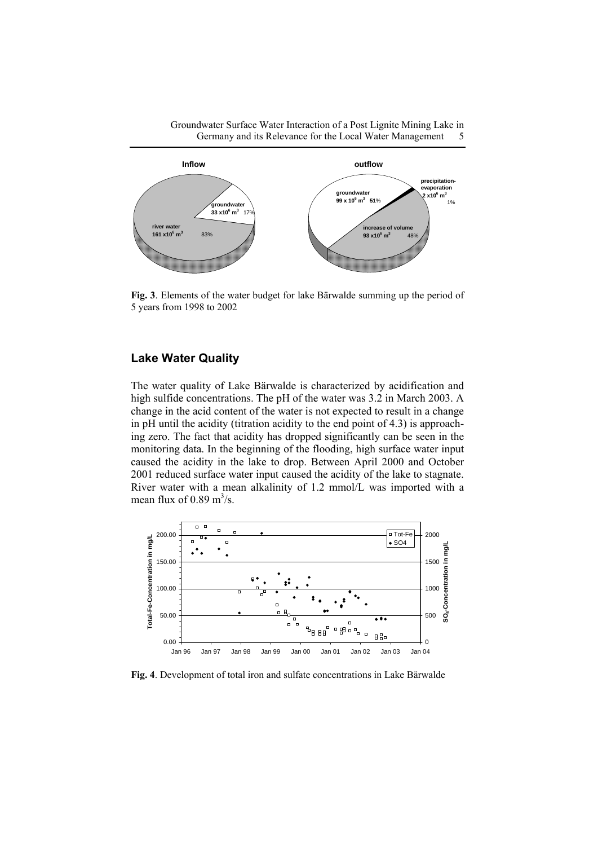Groundwater Surface Water Interaction of a Post Lignite Mining Lake in Germany and its Relevance for the Local Water Management 5



**Fig. 3**. Elements of the water budget for lake Bärwalde summing up the period of 5 years from 1998 to 2002

# **Lake Water Quality**

The water quality of Lake Bärwalde is characterized by acidification and high sulfide concentrations. The pH of the water was 3.2 in March 2003. A change in the acid content of the water is not expected to result in a change in pH until the acidity (titration acidity to the end point of 4.3) is approaching zero. The fact that acidity has dropped significantly can be seen in the monitoring data. In the beginning of the flooding, high surface water input caused the acidity in the lake to drop. Between April 2000 and October 2001 reduced surface water input caused the acidity of the lake to stagnate. River water with a mean alkalinity of 1.2 mmol/L was imported with a mean flux of  $0.89 \text{ m}^3\text{/s.}$ 



**Fig. 4**. Development of total iron and sulfate concentrations in Lake Bärwalde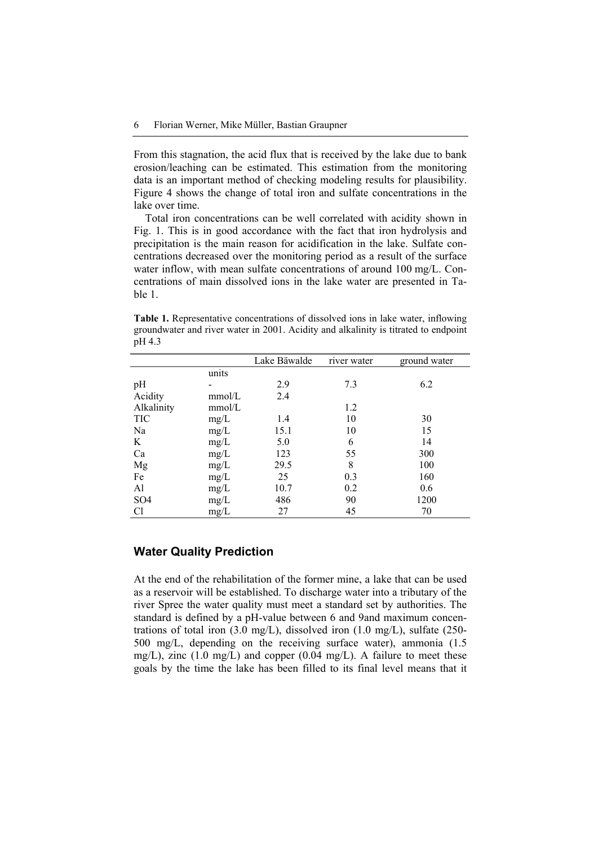From this stagnation, the acid flux that is received by the lake due to bank erosion/leaching can be estimated. This estimation from the monitoring data is an important method of checking modeling results for plausibility. Figure 4 shows the change of total iron and sulfate concentrations in the lake over time.

Total iron concentrations can be well correlated with acidity shown in Fig. 1. This is in good accordance with the fact that iron hydrolysis and precipitation is the main reason for acidification in the lake. Sulfate concentrations decreased over the monitoring period as a result of the surface water inflow, with mean sulfate concentrations of around 100 mg/L. Concentrations of main dissolved ions in the lake water are presented in Table 1.

**Table 1.** Representative concentrations of dissolved ions in lake water, inflowing groundwater and river water in 2001. Acidity and alkalinity is titrated to endpoint pH 4.3

|                 |        | Lake Bäwalde | river water | ground water |
|-----------------|--------|--------------|-------------|--------------|
|                 | units  |              |             |              |
| pH              |        | 2.9          | 7.3         | 6.2          |
| Acidity         | mmol/L | 2.4          |             |              |
| Alkalinity      | mmol/L |              | 1.2         |              |
| TIC             | $mg/L$ | 1.4          | 10          | 30           |
| Na              | mg/L   | 15.1         | 10          | 15           |
| K               | $mg/L$ | 5.0          | 6           | 14           |
| Ca              | mg/L   | 123          | 55          | 300          |
| Mg              | mg/L   | 29.5         | 8           | 100          |
| Fe              | mg/L   | 25           | 0.3         | 160          |
| Al              | mg/L   | 10.7         | 0.2         | 0.6          |
| SO <sub>4</sub> | $mg/L$ | 486          | 90          | 1200         |
| Cl              | mg/L   | 27           | 45          | 70           |

## **Water Quality Prediction**

At the end of the rehabilitation of the former mine, a lake that can be used as a reservoir will be established. To discharge water into a tributary of the river Spree the water quality must meet a standard set by authorities. The standard is defined by a pH-value between 6 and 9and maximum concentrations of total iron (3.0 mg/L), dissolved iron (1.0 mg/L), sulfate (250- 500 mg/L, depending on the receiving surface water), ammonia (1.5 mg/L), zinc  $(1.0 \text{ mg/L})$  and copper  $(0.04 \text{ mg/L})$ . A failure to meet these goals by the time the lake has been filled to its final level means that it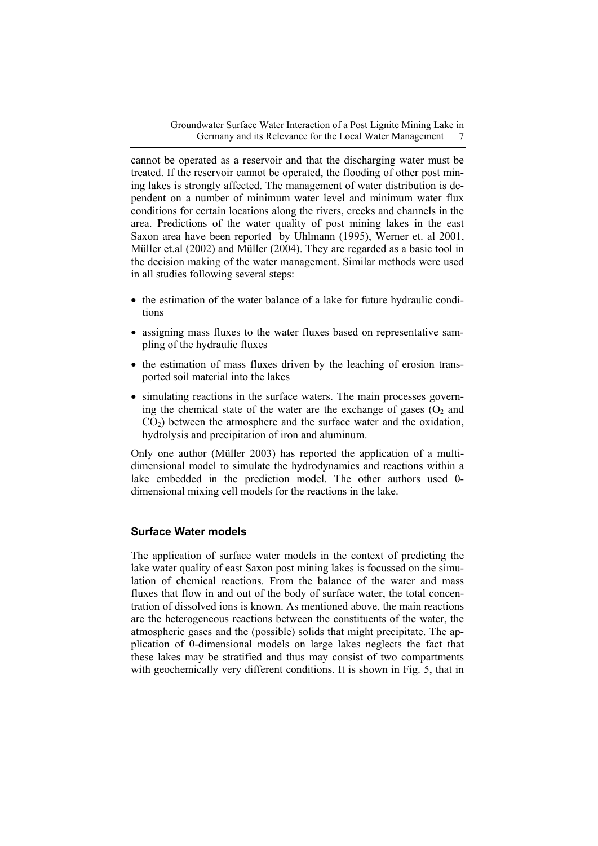cannot be operated as a reservoir and that the discharging water must be treated. If the reservoir cannot be operated, the flooding of other post mining lakes is strongly affected. The management of water distribution is dependent on a number of minimum water level and minimum water flux conditions for certain locations along the rivers, creeks and channels in the area. Predictions of the water quality of post mining lakes in the east Saxon area have been reported by Uhlmann (1995), Werner et. al 2001, Müller et.al (2002) and Müller (2004). They are regarded as a basic tool in the decision making of the water management. Similar methods were used in all studies following several steps:

- the estimation of the water balance of a lake for future hydraulic conditions
- assigning mass fluxes to the water fluxes based on representative sampling of the hydraulic fluxes
- the estimation of mass fluxes driven by the leaching of erosion transported soil material into the lakes
- simulating reactions in the surface waters. The main processes governing the chemical state of the water are the exchange of gases  $(O<sub>2</sub>$  and  $CO<sub>2</sub>$ ) between the atmosphere and the surface water and the oxidation, hydrolysis and precipitation of iron and aluminum.

Only one author (Müller 2003) has reported the application of a multidimensional model to simulate the hydrodynamics and reactions within a lake embedded in the prediction model. The other authors used 0 dimensional mixing cell models for the reactions in the lake.

## **Surface Water models**

The application of surface water models in the context of predicting the lake water quality of east Saxon post mining lakes is focussed on the simulation of chemical reactions. From the balance of the water and mass fluxes that flow in and out of the body of surface water, the total concentration of dissolved ions is known. As mentioned above, the main reactions are the heterogeneous reactions between the constituents of the water, the atmospheric gases and the (possible) solids that might precipitate. The application of 0-dimensional models on large lakes neglects the fact that these lakes may be stratified and thus may consist of two compartments with geochemically very different conditions. It is shown in Fig. 5, that in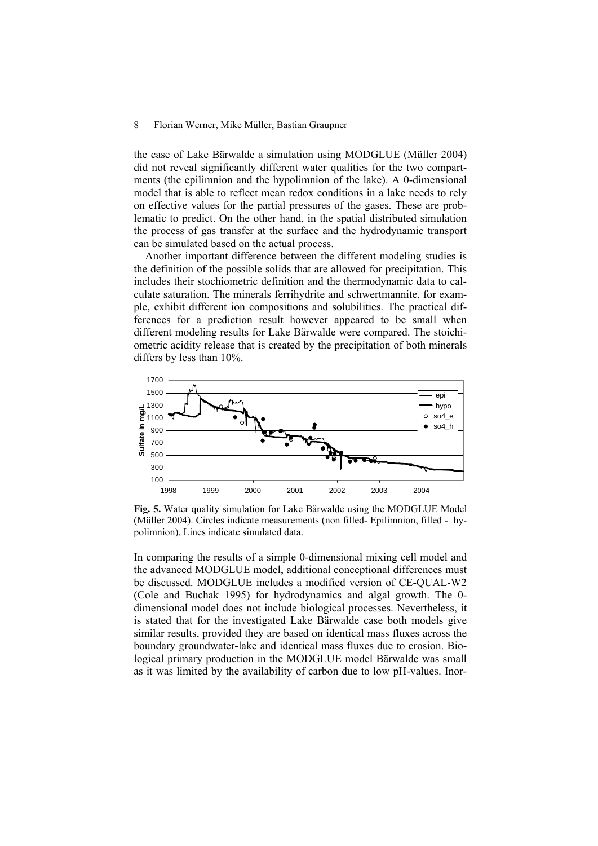the case of Lake Bärwalde a simulation using MODGLUE (Müller 2004) did not reveal significantly different water qualities for the two compartments (the epilimnion and the hypolimnion of the lake). A 0-dimensional model that is able to reflect mean redox conditions in a lake needs to rely on effective values for the partial pressures of the gases. These are problematic to predict. On the other hand, in the spatial distributed simulation the process of gas transfer at the surface and the hydrodynamic transport can be simulated based on the actual process.

Another important difference between the different modeling studies is the definition of the possible solids that are allowed for precipitation. This includes their stochiometric definition and the thermodynamic data to calculate saturation. The minerals ferrihydrite and schwertmannite, for example, exhibit different ion compositions and solubilities. The practical differences for a prediction result however appeared to be small when different modeling results for Lake Bärwalde were compared. The stoichiometric acidity release that is created by the precipitation of both minerals differs by less than 10%.



**Fig. 5.** Water quality simulation for Lake Bärwalde using the MODGLUE Model (Müller 2004). Circles indicate measurements (non filled- Epilimnion, filled - hypolimnion). Lines indicate simulated data.

In comparing the results of a simple 0-dimensional mixing cell model and the advanced MODGLUE model, additional conceptional differences must be discussed. MODGLUE includes a modified version of CE-QUAL-W2 (Cole and Buchak 1995) for hydrodynamics and algal growth. The 0 dimensional model does not include biological processes. Nevertheless, it is stated that for the investigated Lake Bärwalde case both models give similar results, provided they are based on identical mass fluxes across the boundary groundwater-lake and identical mass fluxes due to erosion. Biological primary production in the MODGLUE model Bärwalde was small as it was limited by the availability of carbon due to low pH-values. Inor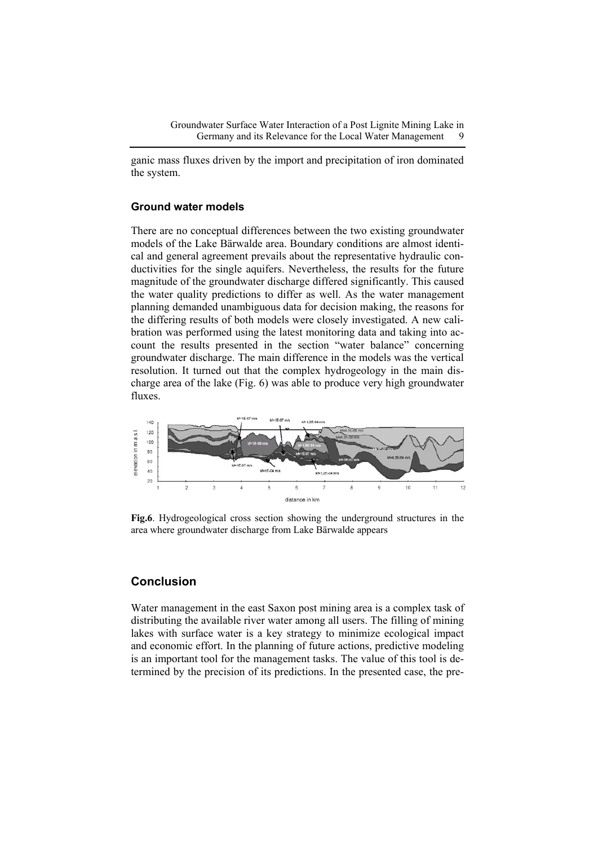ganic mass fluxes driven by the import and precipitation of iron dominated the system.

#### **Ground water models**

There are no conceptual differences between the two existing groundwater models of the Lake Bärwalde area. Boundary conditions are almost identical and general agreement prevails about the representative hydraulic conductivities for the single aquifers. Nevertheless, the results for the future magnitude of the groundwater discharge differed significantly. This caused the water quality predictions to differ as well. As the water management planning demanded unambiguous data for decision making, the reasons for the differing results of both models were closely investigated. A new calibration was performed using the latest monitoring data and taking into account the results presented in the section "water balance" concerning groundwater discharge. The main difference in the models was the vertical resolution. It turned out that the complex hydrogeology in the main discharge area of the lake (Fig. 6) was able to produce very high groundwater fluxes.



**Fig.6**. Hydrogeological cross section showing the underground structures in the area where groundwater discharge from Lake Bärwalde appears

# **Conclusion**

Water management in the east Saxon post mining area is a complex task of distributing the available river water among all users. The filling of mining lakes with surface water is a key strategy to minimize ecological impact and economic effort. In the planning of future actions, predictive modeling is an important tool for the management tasks. The value of this tool is determined by the precision of its predictions. In the presented case, the pre